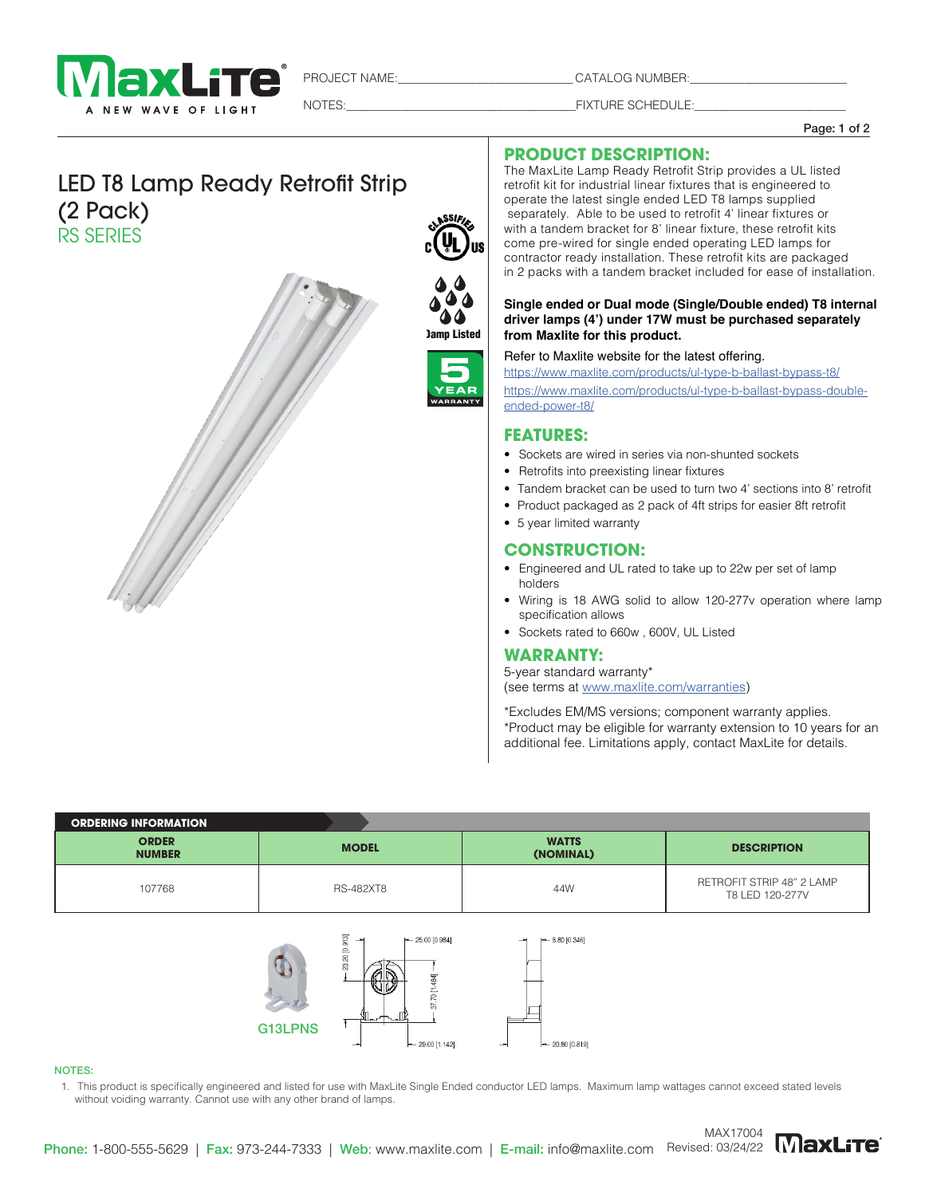

PROJECT NAME:\_\_\_\_\_\_\_\_\_\_\_\_\_\_\_\_\_\_\_\_\_\_\_\_\_\_\_\_\_ CATALOG NUMBER:\_\_\_\_\_\_\_\_\_\_\_\_\_\_\_\_\_\_\_\_\_\_\_\_\_\_

NOTES: THE SCHEDULE:

Page: 1 of 2

# LED T8 Lamp Ready Retrofit Strip (2 Pack) RS SERIES



# **PRODUCT DESCRIPTION:**

The MaxLite Lamp Ready Retrofit Strip provides a UL listed retrofit kit for industrial linear fixtures that is engineered to operate the latest single ended LED T8 lamps supplied separately. Able to be used to retrofit 4' linear fixtures or with a tandem bracket for 8' linear fixture, these retrofit kits come pre-wired for single ended operating LED lamps for contractor ready installation. These retrofit kits are packaged in 2 packs with a tandem bracket included for ease of installation.

#### **Single ended or Dual mode (Single/Double ended) T8 internal driver lamps (4') under 17W must be purchased separately from Maxlite for this product.**

#### Refer to Maxlite website for the latest offering.

https://www.maxlite.com/products/ul-type-b-ballast-bypass-t8/ https://www.maxlite.com/products/ul-type-b-ballast-bypass-doubleended-power-t8/

## **FEATURES:**

Damp Listed

SSIE

- Sockets are wired in series via non-shunted sockets
- Retrofits into preexisting linear fixtures
- Tandem bracket can be used to turn two 4' sections into 8' retrofit
- Product packaged as 2 pack of 4ft strips for easier 8ft retrofit
- 5 year limited warranty

#### **CONSTRUCTION:**

- Engineered and UL rated to take up to 22w per set of lamp holders
- Wiring is 18 AWG solid to allow 120-277v operation where lamp specification allows
- Sockets rated to 660w , 600V, UL Listed

## **WARRANTY:**

20.80 [0.819]

5-year standard warranty\* (see terms at www.maxlite.com/warranties)

\*Excludes EM/MS versions; component warranty applies. \*Product may be eligible for warranty extension to 10 years for an additional fee. Limitations apply, contact MaxLite for details.

| <b>ORDERING INFORMATION</b>   |                                                                      |                           |                                              |
|-------------------------------|----------------------------------------------------------------------|---------------------------|----------------------------------------------|
| <b>ORDER</b><br><b>NUMBER</b> | <b>MODEL</b>                                                         | <b>WATTS</b><br>(NOMINAL) | <b>DESCRIPTION</b>                           |
| 107768                        | <b>RS-482XT8</b>                                                     | 44W                       | RETROFIT STRIP 48" 2 LAMP<br>T8 LED 120-277V |
|                               | [0.913]<br>$- 25.00 [0.984]$<br>23.20<br>$\overline{+}$<br>₫<br>wity | $[-8.80 [0.346]$<br>ᆋ     |                                              |

#### NOTES:

1. This product is specifically engineered and listed for use with MaxLite Single Ended conductor LED lamps. Maximum lamp wattages cannot exceed stated levels without voiding warranty. Cannot use with any other brand of lamps.

29.00 [1.142]

G13LPNS